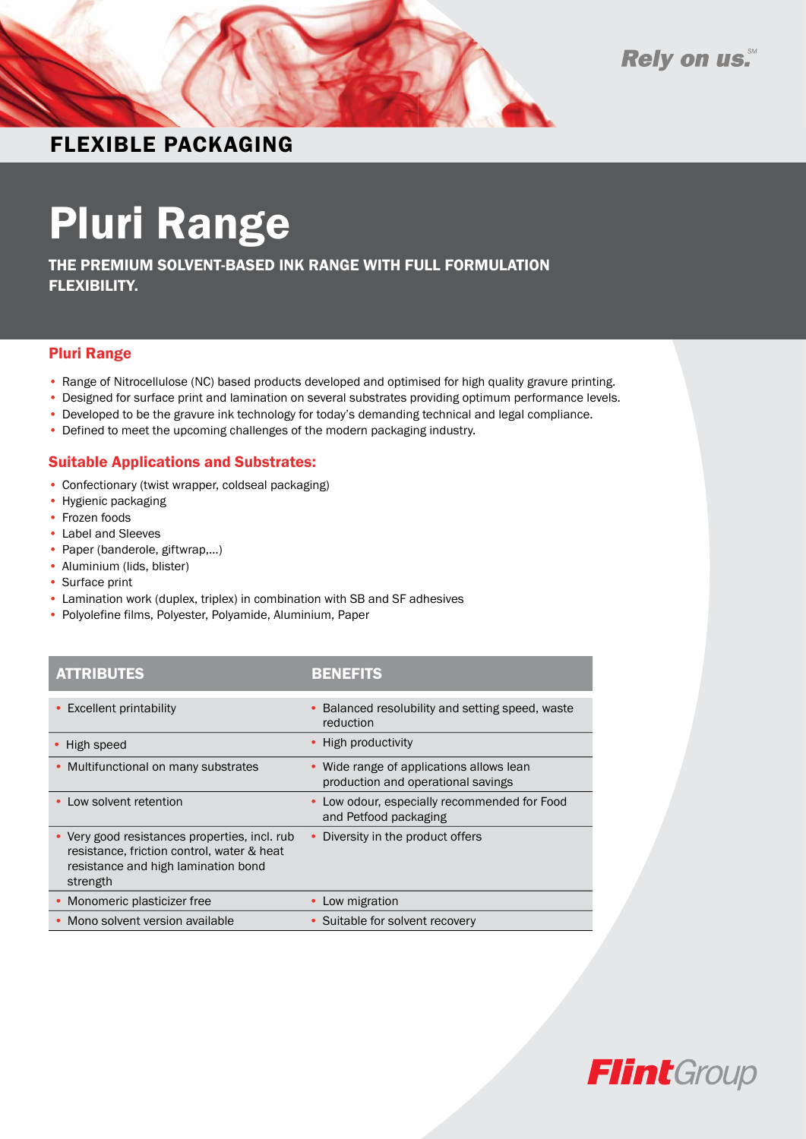

Rely on us.

### FLEXIBLE PACKAGING

# Pluri Range

THE PREMIUM SOLVENT-BASED INK RANGE WITH FULL FORMULATION FLEXIBILITY.

#### Pluri Range

- Range of Nitrocellulose (NC) based products developed and optimised for high quality gravure printing.
- Designed for surface print and lamination on several substrates providing optimum performance levels.
- Developed to be the gravure ink technology for today's demanding technical and legal compliance.
- Defined to meet the upcoming challenges of the modern packaging industry.

#### Suitable Applications and Substrates:

- Confectionary (twist wrapper, coldseal packaging)
- Hygienic packaging
- Frozen foods
- Label and Sleeves
- Paper (banderole, giftwrap,…)
- Aluminium (lids, blister)
- Surface print
- Lamination work (duplex, triplex) in combination with SB and SF adhesives
- Polyolefine films, Polyester, Polyamide, Aluminium, Paper

#### Attributes Benefi ts ATTRIBUTES BENEFITS

| <b>Excellent printability</b>                                                                                                                  | Balanced resolubility and setting speed, waste<br>reduction                    |
|------------------------------------------------------------------------------------------------------------------------------------------------|--------------------------------------------------------------------------------|
| High speed                                                                                                                                     | • High productivity                                                            |
| Multifunctional on many substrates<br>$\bullet$                                                                                                | • Wide range of applications allows lean<br>production and operational savings |
| Low solvent retention                                                                                                                          | • Low odour, especially recommended for Food<br>and Petfood packaging          |
| • Very good resistances properties, incl. rub<br>resistance, friction control, water & heat<br>resistance and high lamination bond<br>strength | Diversity in the product offers                                                |
| Monomeric plasticizer free                                                                                                                     | Low migration                                                                  |
| Mono solvent version available                                                                                                                 | • Suitable for solvent recovery                                                |